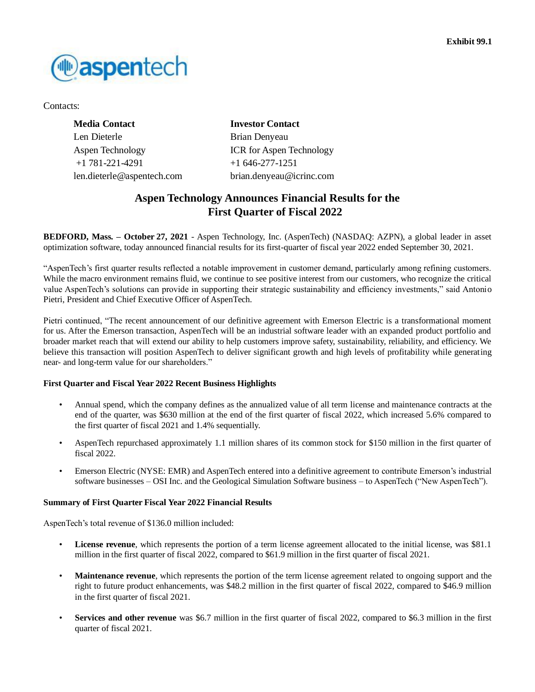

Contacts:

| <b>Media Contact</b>       | <b>Investor Contact</b>         |
|----------------------------|---------------------------------|
| Len Dieterle               | Brian Denyeau                   |
| Aspen Technology           | <b>ICR</b> for Aspen Technology |
| $+1$ 781-221-4291          | $+1646-277-1251$                |
| len.dieterle@aspentech.com | brian.denyeau@icrinc.com        |
|                            |                                 |

# **Aspen Technology Announces Financial Results for the First Quarter of Fiscal 2022**

**BEDFORD, Mass. – October 27, 2021** - Aspen Technology, Inc. (AspenTech) (NASDAQ: AZPN), a global leader in asset optimization software, today announced financial results for its first-quarter of fiscal year 2022 ended September 30, 2021.

"AspenTech's first quarter results reflected a notable improvement in customer demand, particularly among refining customers. While the macro environment remains fluid, we continue to see positive interest from our customers, who recognize the critical value AspenTech's solutions can provide in supporting their strategic sustainability and efficiency investments," said Antonio Pietri, President and Chief Executive Officer of AspenTech.

Pietri continued, "The recent announcement of our definitive agreement with Emerson Electric is a transformational moment for us. After the Emerson transaction, AspenTech will be an industrial software leader with an expanded product portfolio and broader market reach that will extend our ability to help customers improve safety, sustainability, reliability, and efficiency. We believe this transaction will position AspenTech to deliver significant growth and high levels of profitability while generating near- and long-term value for our shareholders."

### **First Quarter and Fiscal Year 2022 Recent Business Highlights**

- Annual spend, which the company defines as the annualized value of all term license and maintenance contracts at the end of the quarter, was \$630 million at the end of the first quarter of fiscal 2022, which increased 5.6% compared to the first quarter of fiscal 2021 and 1.4% sequentially.
- AspenTech repurchased approximately 1.1 million shares of its common stock for \$150 million in the first quarter of fiscal 2022.
- Emerson Electric (NYSE: EMR) and AspenTech entered into a definitive agreement to contribute Emerson's industrial software businesses – OSI Inc. and the Geological Simulation Software business – to AspenTech ("New AspenTech").

## **Summary of First Quarter Fiscal Year 2022 Financial Results**

AspenTech's total revenue of \$136.0 million included:

- **License revenue**, which represents the portion of a term license agreement allocated to the initial license, was \$81.1 million in the first quarter of fiscal 2022, compared to \$61.9 million in the first quarter of fiscal 2021.
- **Maintenance revenue**, which represents the portion of the term license agreement related to ongoing support and the right to future product enhancements, was \$48.2 million in the first quarter of fiscal 2022, compared to \$46.9 million in the first quarter of fiscal 2021.
- **Services and other revenue** was \$6.7 million in the first quarter of fiscal 2022, compared to \$6.3 million in the first quarter of fiscal 2021.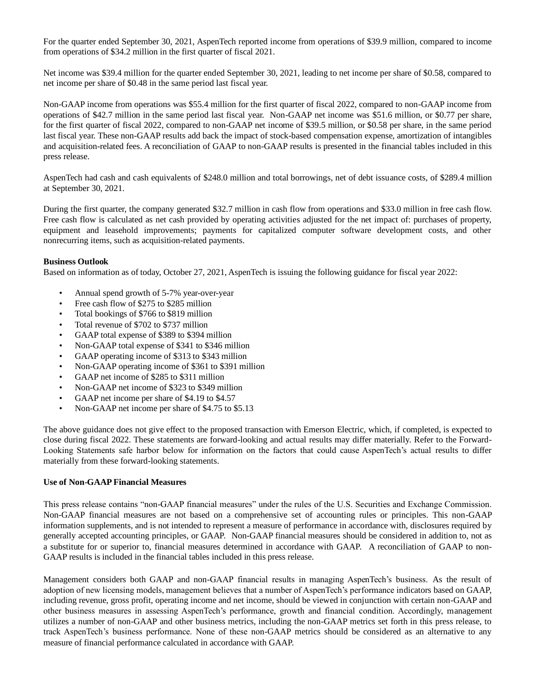For the quarter ended September 30, 2021, AspenTech reported income from operations of \$39.9 million, compared to income from operations of \$34.2 million in the first quarter of fiscal 2021.

Net income was \$39.4 million for the quarter ended September 30, 2021, leading to net income per share of \$0.58, compared to net income per share of \$0.48 in the same period last fiscal year.

Non-GAAP income from operations was \$55.4 million for the first quarter of fiscal 2022, compared to non-GAAP income from operations of \$42.7 million in the same period last fiscal year. Non-GAAP net income was \$51.6 million, or \$0.77 per share, for the first quarter of fiscal 2022, compared to non-GAAP net income of \$39.5 million, or \$0.58 per share, in the same period last fiscal year. These non-GAAP results add back the impact of stock-based compensation expense, amortization of intangibles and acquisition-related fees. A reconciliation of GAAP to non-GAAP results is presented in the financial tables included in this press release.

AspenTech had cash and cash equivalents of \$248.0 million and total borrowings, net of debt issuance costs, of \$289.4 million at September 30, 2021.

During the first quarter, the company generated \$32.7 million in cash flow from operations and \$33.0 million in free cash flow. Free cash flow is calculated as net cash provided by operating activities adjusted for the net impact of: purchases of property, equipment and leasehold improvements; payments for capitalized computer software development costs, and other nonrecurring items, such as acquisition-related payments.

### **Business Outlook**

Based on information as of today, October 27, 2021, AspenTech is issuing the following guidance for fiscal year 2022:

- Annual spend growth of 5-7% year-over-year
- Free cash flow of \$275 to \$285 million
- Total bookings of \$766 to \$819 million
- Total revenue of \$702 to \$737 million
- GAAP total expense of \$389 to \$394 million
- Non-GAAP total expense of \$341 to \$346 million
- GAAP operating income of \$313 to \$343 million
- Non-GAAP operating income of \$361 to \$391 million
- GAAP net income of \$285 to \$311 million
- Non-GAAP net income of \$323 to \$349 million
- GAAP net income per share of \$4.19 to \$4.57
- Non-GAAP net income per share of \$4.75 to \$5.13

The above guidance does not give effect to the proposed transaction with Emerson Electric, which, if completed, is expected to close during fiscal 2022. These statements are forward-looking and actual results may differ materially. Refer to the Forward-Looking Statements safe harbor below for information on the factors that could cause AspenTech's actual results to differ materially from these forward-looking statements.

#### **Use of Non-GAAP Financial Measures**

This press release contains "non-GAAP financial measures" under the rules of the U.S. Securities and Exchange Commission. Non-GAAP financial measures are not based on a comprehensive set of accounting rules or principles. This non-GAAP information supplements, and is not intended to represent a measure of performance in accordance with, disclosures required by generally accepted accounting principles, or GAAP. Non-GAAP financial measures should be considered in addition to, not as a substitute for or superior to, financial measures determined in accordance with GAAP. A reconciliation of GAAP to non-GAAP results is included in the financial tables included in this press release.

Management considers both GAAP and non-GAAP financial results in managing AspenTech's business. As the result of adoption of new licensing models, management believes that a number of AspenTech's performance indicators based on GAAP, including revenue, gross profit, operating income and net income, should be viewed in conjunction with certain non-GAAP and other business measures in assessing AspenTech's performance, growth and financial condition. Accordingly, management utilizes a number of non-GAAP and other business metrics, including the non-GAAP metrics set forth in this press release, to track AspenTech's business performance. None of these non-GAAP metrics should be considered as an alternative to any measure of financial performance calculated in accordance with GAAP.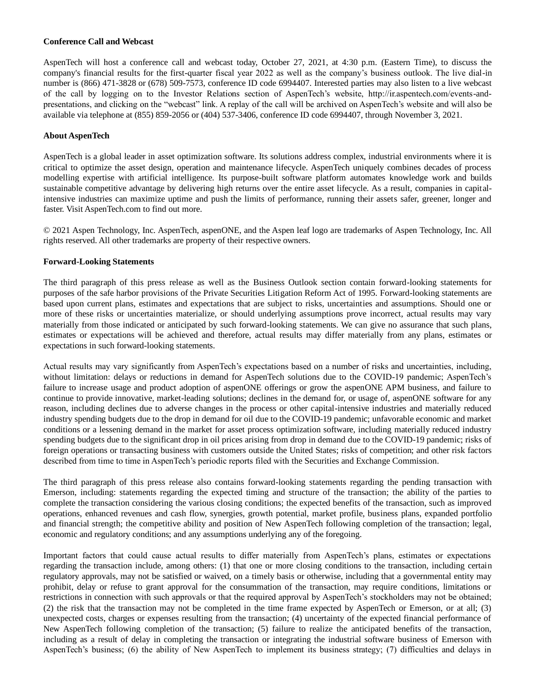### **Conference Call and Webcast**

AspenTech will host a conference call and webcast today, October 27, 2021, at 4:30 p.m. (Eastern Time), to discuss the company's financial results for the first-quarter fiscal year 2022 as well as the company's business outlook. The live dial-in number is (866) 471-3828 or (678) 509-7573, conference ID code 6994407. Interested parties may also listen to a live webcast of the call by logging on to the Investor Relations section of AspenTech's website, http://ir.aspentech.com/events-andpresentations, and clicking on the "webcast" link. A replay of the call will be archived on AspenTech's website and will also be available via telephone at (855) 859-2056 or (404) 537-3406, conference ID code 6994407, through November 3, 2021.

### **About AspenTech**

AspenTech is a global leader in asset optimization software. Its solutions address complex, industrial environments where it is critical to optimize the asset design, operation and maintenance lifecycle. AspenTech uniquely combines decades of process modelling expertise with artificial intelligence. Its purpose-built software platform automates knowledge work and builds sustainable competitive advantage by delivering high returns over the entire asset lifecycle. As a result, companies in capitalintensive industries can maximize uptime and push the limits of performance, running their assets safer, greener, longer and faster. Visit AspenTech.com to find out more.

© 2021 Aspen Technology, Inc. AspenTech, aspenONE, and the Aspen leaf logo are trademarks of Aspen Technology, Inc. All rights reserved. All other trademarks are property of their respective owners.

### **Forward-Looking Statements**

The third paragraph of this press release as well as the Business Outlook section contain forward-looking statements for purposes of the safe harbor provisions of the Private Securities Litigation Reform Act of 1995. Forward-looking statements are based upon current plans, estimates and expectations that are subject to risks, uncertainties and assumptions. Should one or more of these risks or uncertainties materialize, or should underlying assumptions prove incorrect, actual results may vary materially from those indicated or anticipated by such forward-looking statements. We can give no assurance that such plans, estimates or expectations will be achieved and therefore, actual results may differ materially from any plans, estimates or expectations in such forward-looking statements.

Actual results may vary significantly from AspenTech's expectations based on a number of risks and uncertainties, including, without limitation: delays or reductions in demand for AspenTech solutions due to the COVID-19 pandemic; AspenTech's failure to increase usage and product adoption of aspenONE offerings or grow the aspenONE APM business, and failure to continue to provide innovative, market-leading solutions; declines in the demand for, or usage of, aspenONE software for any reason, including declines due to adverse changes in the process or other capital-intensive industries and materially reduced industry spending budgets due to the drop in demand for oil due to the COVID-19 pandemic; unfavorable economic and market conditions or a lessening demand in the market for asset process optimization software, including materially reduced industry spending budgets due to the significant drop in oil prices arising from drop in demand due to the COVID-19 pandemic; risks of foreign operations or transacting business with customers outside the United States; risks of competition; and other risk factors described from time to time in AspenTech's periodic reports filed with the Securities and Exchange Commission.

The third paragraph of this press release also contains forward-looking statements regarding the pending transaction with Emerson, including: statements regarding the expected timing and structure of the transaction; the ability of the parties to complete the transaction considering the various closing conditions; the expected benefits of the transaction, such as improved operations, enhanced revenues and cash flow, synergies, growth potential, market profile, business plans, expanded portfolio and financial strength; the competitive ability and position of New AspenTech following completion of the transaction; legal, economic and regulatory conditions; and any assumptions underlying any of the foregoing.

Important factors that could cause actual results to differ materially from AspenTech's plans, estimates or expectations regarding the transaction include, among others: (1) that one or more closing conditions to the transaction, including certain regulatory approvals, may not be satisfied or waived, on a timely basis or otherwise, including that a governmental entity may prohibit, delay or refuse to grant approval for the consummation of the transaction, may require conditions, limitations or restrictions in connection with such approvals or that the required approval by AspenTech's stockholders may not be obtained; (2) the risk that the transaction may not be completed in the time frame expected by AspenTech or Emerson, or at all; (3) unexpected costs, charges or expenses resulting from the transaction; (4) uncertainty of the expected financial performance of New AspenTech following completion of the transaction; (5) failure to realize the anticipated benefits of the transaction, including as a result of delay in completing the transaction or integrating the industrial software business of Emerson with AspenTech's business; (6) the ability of New AspenTech to implement its business strategy; (7) difficulties and delays in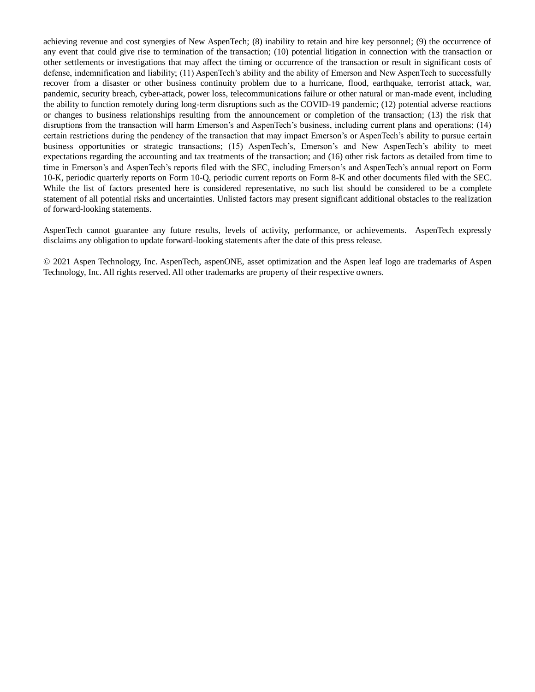achieving revenue and cost synergies of New AspenTech; (8) inability to retain and hire key personnel; (9) the occurrence of any event that could give rise to termination of the transaction; (10) potential litigation in connection with the transaction or other settlements or investigations that may affect the timing or occurrence of the transaction or result in significant costs of defense, indemnification and liability; (11) AspenTech's ability and the ability of Emerson and New AspenTech to successfully recover from a disaster or other business continuity problem due to a hurricane, flood, earthquake, terrorist attack, war, pandemic, security breach, cyber-attack, power loss, telecommunications failure or other natural or man-made event, including the ability to function remotely during long-term disruptions such as the COVID-19 pandemic; (12) potential adverse reactions or changes to business relationships resulting from the announcement or completion of the transaction; (13) the risk that disruptions from the transaction will harm Emerson's and AspenTech's business, including current plans and operations; (14) certain restrictions during the pendency of the transaction that may impact Emerson's or AspenTech's ability to pursue certain business opportunities or strategic transactions; (15) AspenTech's, Emerson's and New AspenTech's ability to meet expectations regarding the accounting and tax treatments of the transaction; and (16) other risk factors as detailed from time to time in Emerson's and AspenTech's reports filed with the SEC, including Emerson's and AspenTech's annual report on Form 10-K, periodic quarterly reports on Form 10-Q, periodic current reports on Form 8-K and other documents filed with the SEC. While the list of factors presented here is considered representative, no such list should be considered to be a complete statement of all potential risks and uncertainties. Unlisted factors may present significant additional obstacles to the realization of forward-looking statements.

AspenTech cannot guarantee any future results, levels of activity, performance, or achievements. AspenTech expressly disclaims any obligation to update forward-looking statements after the date of this press release.

© 2021 Aspen Technology, Inc. AspenTech, aspenONE, asset optimization and the Aspen leaf logo are trademarks of Aspen Technology, Inc. All rights reserved. All other trademarks are property of their respective owners.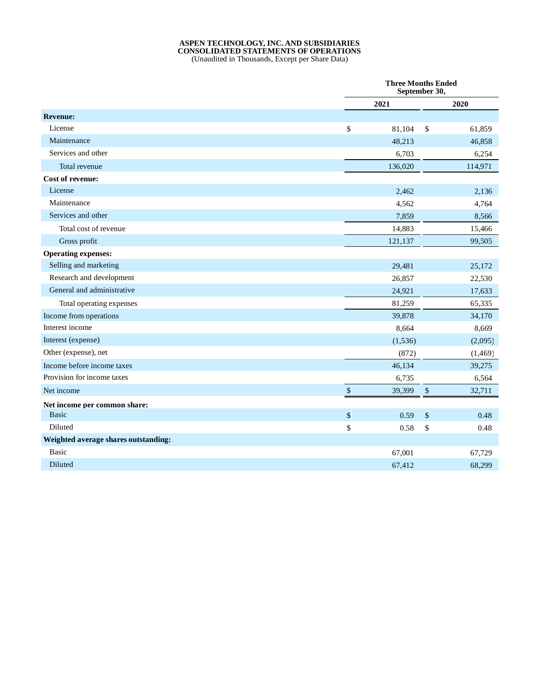#### **ASPEN TECHNOLOGY, INC. AND SUBSIDIARIES CONSOLIDATED STATEMENTS OF OPERATIONS** (Unaudited in Thousands, Except per Share Data)

|                                      | <b>Three Months Ended</b><br>September 30, |      |          |  |
|--------------------------------------|--------------------------------------------|------|----------|--|
|                                      | 2021                                       |      | 2020     |  |
| <b>Revenue:</b>                      |                                            |      |          |  |
| License                              | \$<br>81,104                               | \$   | 61,859   |  |
| Maintenance                          | 48,213                                     |      | 46,858   |  |
| Services and other                   | 6,703                                      |      | 6,254    |  |
| Total revenue                        | 136,020                                    |      | 114,971  |  |
| Cost of revenue:                     |                                            |      |          |  |
| License                              | 2,462                                      |      | 2,136    |  |
| Maintenance                          | 4,562                                      |      | 4,764    |  |
| Services and other                   | 7,859                                      |      | 8,566    |  |
| Total cost of revenue                | 14,883                                     |      | 15,466   |  |
| Gross profit                         | 121,137                                    |      | 99,505   |  |
| <b>Operating expenses:</b>           |                                            |      |          |  |
| Selling and marketing                | 29,481                                     |      | 25,172   |  |
| Research and development             | 26,857                                     |      | 22,530   |  |
| General and administrative           | 24,921                                     |      | 17,633   |  |
| Total operating expenses             | 81,259                                     |      | 65,335   |  |
| Income from operations               | 39,878                                     |      | 34,170   |  |
| Interest income                      | 8,664                                      |      | 8,669    |  |
| Interest (expense)                   | (1, 536)                                   |      | (2,095)  |  |
| Other (expense), net                 | (872)                                      |      | (1, 469) |  |
| Income before income taxes           | 46,134                                     |      | 39,275   |  |
| Provision for income taxes           | 6,735                                      |      | 6,564    |  |
| Net income                           | \$<br>39,399                               | $\$$ | 32,711   |  |
| Net income per common share:         |                                            |      |          |  |
| <b>Basic</b>                         | \$<br>0.59                                 | \$   | 0.48     |  |
| Diluted                              | \$<br>0.58                                 | \$   | 0.48     |  |
| Weighted average shares outstanding: |                                            |      |          |  |
| Basic                                | 67,001                                     |      | 67,729   |  |
| Diluted                              | 67,412                                     |      | 68,299   |  |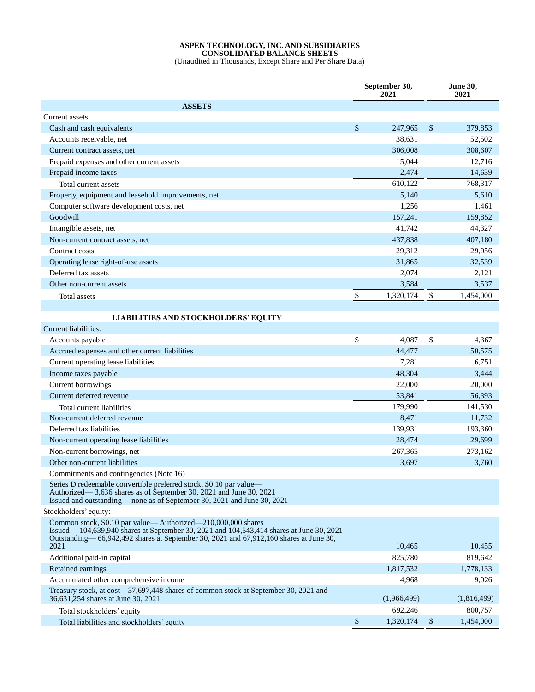#### **ASPEN TECHNOLOGY, INC. AND SUBSIDIARIES CONSOLIDATED BALANCE SHEETS** (Unaudited in Thousands, Except Share and Per Share Data)

**September 30, 2021 June 30, 2021 ASSETS** Current assets: Cash and cash equivalents  $\frac{1}{2}$  247,965 \$ 379,853 Accounts receivable, net 38,631 52,502 Current contract assets, net 308,607 Prepaid expenses and other current assets 15,044 12,716 Prepaid income taxes 2,474 14,639 Total current assets  $610,122$   $768,317$ Property, equipment and leasehold improvements, net 5,140 5,610 5,610 Computer software development costs, net 1,256 1,461 Goodwill 157,241 159,852 Intangible assets, net 41,742 44,327 Non-current contract assets, net 407,180 Contract costs 29,312 29,056 Operating lease right-of-use assets 32,539 32,539 Deferred tax assets 2,074 2,121 Other non-current assets 3,537 3,537 Total assets  $\frac{1}{320,174}$   $\frac{1}{320,174}$   $\frac{1}{320,174}$   $\frac{1}{320,174}$   $\frac{1}{320,174}$   $\frac{1}{320,174}$   $\frac{1}{320,174}$   $\frac{1}{320,174}$   $\frac{1}{320,174}$   $\frac{1}{320,174}$   $\frac{1}{320,174}$   $\frac{1}{320,174}$   $\frac{1}{320,174}$ 

| LIABILITIES AND STOCKHOLDERS' EQUITY |  |
|--------------------------------------|--|
|                                      |  |

| Current liabilities:                                                                                                                                                                                                                                     |      |             |              |             |
|----------------------------------------------------------------------------------------------------------------------------------------------------------------------------------------------------------------------------------------------------------|------|-------------|--------------|-------------|
| Accounts payable                                                                                                                                                                                                                                         | \$   | 4,087       | \$           | 4,367       |
| Accrued expenses and other current liabilities                                                                                                                                                                                                           |      | 44,477      |              | 50,575      |
| Current operating lease liabilities                                                                                                                                                                                                                      |      | 7,281       |              | 6,751       |
| Income taxes payable                                                                                                                                                                                                                                     |      | 48.304      |              | 3,444       |
| Current borrowings                                                                                                                                                                                                                                       |      | 22,000      |              | 20,000      |
| Current deferred revenue                                                                                                                                                                                                                                 |      | 53.841      |              | 56,393      |
| Total current liabilities                                                                                                                                                                                                                                |      | 179,990     |              | 141,530     |
| Non-current deferred revenue                                                                                                                                                                                                                             |      | 8,471       |              | 11,732      |
| Deferred tax liabilities                                                                                                                                                                                                                                 |      | 139,931     |              | 193,360     |
| Non-current operating lease liabilities                                                                                                                                                                                                                  |      | 28,474      |              | 29,699      |
| Non-current borrowings, net                                                                                                                                                                                                                              |      | 267,365     |              | 273,162     |
| Other non-current liabilities                                                                                                                                                                                                                            |      | 3,697       |              | 3.760       |
| Commitments and contingencies (Note 16)                                                                                                                                                                                                                  |      |             |              |             |
| Series D redeemable convertible preferred stock, \$0.10 par value—<br>Authorized—3,636 shares as of September 30, 2021 and June 30, 2021<br>Issued and outstanding—none as of September 30, 2021 and June 30, 2021                                       |      |             |              |             |
| Stockholders' equity:                                                                                                                                                                                                                                    |      |             |              |             |
| Common stock, \$0.10 par value—Authorized—210,000,000 shares<br>Issued—104,639,940 shares at September 30, 2021 and 104,543,414 shares at June 30, 2021<br>Outstanding—66,942,492 shares at September 30, 2021 and 67,912,160 shares at June 30,<br>2021 |      | 10,465      |              | 10,455      |
|                                                                                                                                                                                                                                                          |      | 825,780     |              | 819,642     |
| Additional paid-in capital                                                                                                                                                                                                                               |      |             |              |             |
| Retained earnings                                                                                                                                                                                                                                        |      | 1,817,532   |              | 1,778,133   |
| Accumulated other comprehensive income<br>Treasury stock, at cost—37,697,448 shares of common stock at September 30, 2021 and                                                                                                                            |      | 4,968       |              | 9,026       |
| 36,631,254 shares at June 30, 2021                                                                                                                                                                                                                       |      | (1,966,499) |              | (1,816,499) |
| Total stockholders' equity                                                                                                                                                                                                                               |      | 692,246     |              | 800,757     |
| Total liabilities and stockholders' equity                                                                                                                                                                                                               | $\$$ | 1,320,174   | $\mathbb{S}$ | 1,454,000   |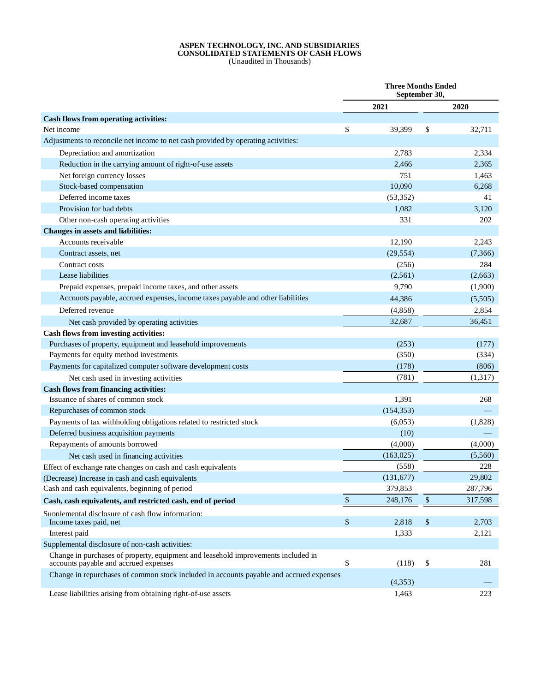#### **ASPEN TECHNOLOGY, INC. AND SUBSIDIARIES CONSOLIDATED STATEMENTS OF CASH FLOWS** (Unaudited in Thousands)

|                                                                                                                            | <b>Three Months Ended</b><br>September 30, |            |    |          |
|----------------------------------------------------------------------------------------------------------------------------|--------------------------------------------|------------|----|----------|
|                                                                                                                            |                                            | 2021       |    | 2020     |
| <b>Cash flows from operating activities:</b>                                                                               |                                            |            |    |          |
| Net income                                                                                                                 | \$                                         | 39,399     | \$ | 32,711   |
| Adjustments to reconcile net income to net cash provided by operating activities:                                          |                                            |            |    |          |
| Depreciation and amortization                                                                                              |                                            | 2,783      |    | 2,334    |
| Reduction in the carrying amount of right-of-use assets                                                                    |                                            | 2,466      |    | 2,365    |
| Net foreign currency losses                                                                                                |                                            | 751        |    | 1,463    |
| Stock-based compensation                                                                                                   |                                            | 10,090     |    | 6,268    |
| Deferred income taxes                                                                                                      |                                            | (53, 352)  |    | 41       |
| Provision for bad debts                                                                                                    |                                            | 1,082      |    | 3,120    |
| Other non-cash operating activities                                                                                        |                                            | 331        |    | 202      |
| <b>Changes in assets and liabilities:</b>                                                                                  |                                            |            |    |          |
| Accounts receivable                                                                                                        |                                            | 12,190     |    | 2,243    |
| Contract assets, net                                                                                                       |                                            | (29, 554)  |    | (7, 366) |
| Contract costs                                                                                                             |                                            | (256)      |    | 284      |
| Lease liabilities                                                                                                          |                                            | (2,561)    |    | (2,663)  |
| Prepaid expenses, prepaid income taxes, and other assets                                                                   |                                            | 9,790      |    | (1,900)  |
| Accounts payable, accrued expenses, income taxes payable and other liabilities                                             |                                            | 44,386     |    | (5,505)  |
| Deferred revenue                                                                                                           |                                            | (4,858)    |    | 2,854    |
| Net cash provided by operating activities                                                                                  |                                            | 32,687     |    | 36,451   |
| Cash flows from investing activities:                                                                                      |                                            |            |    |          |
| Purchases of property, equipment and leasehold improvements                                                                |                                            | (253)      |    | (177)    |
| Payments for equity method investments                                                                                     |                                            | (350)      |    | (334)    |
| Payments for capitalized computer software development costs                                                               |                                            | (178)      |    | (806)    |
| Net cash used in investing activities                                                                                      |                                            | (781)      |    | (1,317)  |
| <b>Cash flows from financing activities:</b>                                                                               |                                            |            |    |          |
| Issuance of shares of common stock                                                                                         |                                            | 1,391      |    | 268      |
| Repurchases of common stock                                                                                                |                                            | (154, 353) |    |          |
| Payments of tax withholding obligations related to restricted stock                                                        |                                            | (6,053)    |    | (1,828)  |
| Deferred business acquisition payments                                                                                     |                                            | (10)       |    |          |
| Repayments of amounts borrowed                                                                                             |                                            | (4,000)    |    | (4,000)  |
| Net cash used in financing activities                                                                                      |                                            | (163,025)  |    | (5,560)  |
| Effect of exchange rate changes on cash and cash equivalents                                                               |                                            | (558)      |    | 228      |
| (Decrease) Increase in cash and cash equivalents                                                                           |                                            | (131, 677) |    | 29,802   |
| Cash and cash equivalents, beginning of period                                                                             |                                            | 379,853    |    | 287,796  |
| Cash, cash equivalents, and restricted cash, end of period                                                                 | $\boldsymbol{\mathsf{S}}$                  | 248,176    | \$ | 317,598  |
| Supplemental disclosure of cash flow information:                                                                          |                                            |            |    |          |
| Income taxes paid, net                                                                                                     | \$                                         | 2,818      | \$ | 2,703    |
| Interest paid                                                                                                              |                                            | 1,333      |    | 2,121    |
| Supplemental disclosure of non-cash activities:                                                                            |                                            |            |    |          |
| Change in purchases of property, equipment and leasehold improvements included in<br>accounts payable and accrued expenses | \$                                         | (118)      | \$ | 281      |
| Change in repurchases of common stock included in accounts payable and accrued expenses                                    |                                            | (4,353)    |    |          |
| Lease liabilities arising from obtaining right-of-use assets                                                               |                                            | 1,463      |    | 223      |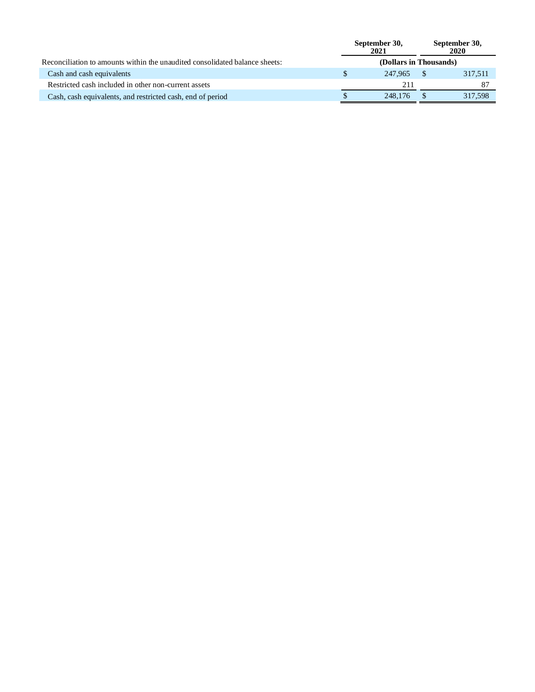|                                                                             | September 30,<br>2021  |         |  | September 30,<br>2020 |
|-----------------------------------------------------------------------------|------------------------|---------|--|-----------------------|
| Reconciliation to amounts within the unaudited consolidated balance sheets: | (Dollars in Thousands) |         |  |                       |
| Cash and cash equivalents                                                   |                        | 247,965 |  | 317,511               |
| Restricted cash included in other non-current assets                        |                        | 211     |  |                       |
| Cash, cash equivalents, and restricted cash, end of period                  |                        | 248,176 |  | 317,598               |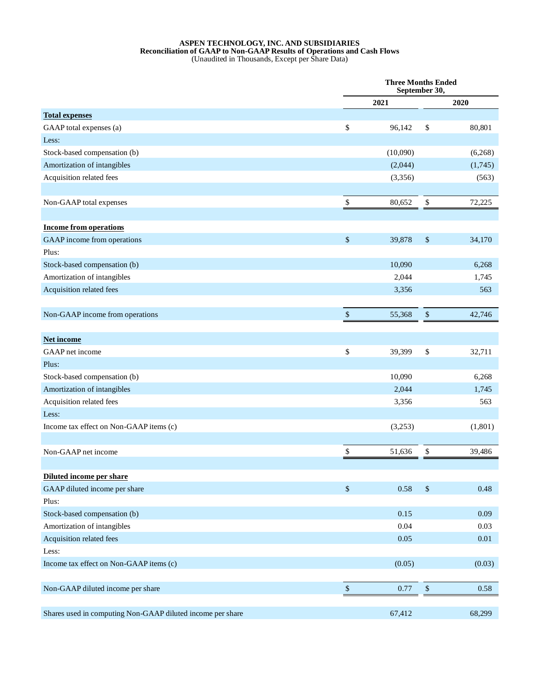#### **ASPEN TECHNOLOGY, INC. AND SUBSIDIARIES Reconciliation of GAAP to Non-GAAP Results of Operations and Cash Flows** (Unaudited in Thousands, Except per Share Data)

|                                                            | <b>Three Months Ended</b><br>September 30, |          |              |         |  |
|------------------------------------------------------------|--------------------------------------------|----------|--------------|---------|--|
|                                                            |                                            | 2021     |              | 2020    |  |
| <b>Total expenses</b>                                      |                                            |          |              |         |  |
| GAAP total expenses (a)                                    | \$                                         | 96,142   | \$           | 80,801  |  |
| Less:                                                      |                                            |          |              |         |  |
| Stock-based compensation (b)                               |                                            | (10,090) |              | (6,268) |  |
| Amortization of intangibles                                |                                            | (2,044)  |              | (1,745) |  |
| Acquisition related fees                                   |                                            | (3,356)  |              | (563)   |  |
|                                                            |                                            |          |              |         |  |
| Non-GAAP total expenses                                    | \$                                         | 80,652   | \$           | 72,225  |  |
|                                                            |                                            |          |              |         |  |
| <b>Income from operations</b>                              |                                            |          |              |         |  |
| GAAP income from operations                                | \$                                         | 39,878   | \$           | 34,170  |  |
| Plus:                                                      |                                            |          |              |         |  |
| Stock-based compensation (b)                               |                                            | 10,090   |              | 6,268   |  |
| Amortization of intangibles                                |                                            | 2,044    |              | 1,745   |  |
| Acquisition related fees                                   |                                            | 3,356    |              | 563     |  |
|                                                            |                                            |          |              |         |  |
| Non-GAAP income from operations                            | $\mathbb{S}$                               | 55,368   | $\$$         | 42,746  |  |
| Net income                                                 |                                            |          |              |         |  |
| GAAP net income                                            | \$                                         | 39,399   | \$           | 32,711  |  |
| Plus:                                                      |                                            |          |              |         |  |
| Stock-based compensation (b)                               |                                            | 10,090   |              | 6,268   |  |
| Amortization of intangibles                                |                                            | 2,044    |              | 1,745   |  |
| Acquisition related fees                                   |                                            | 3,356    |              | 563     |  |
| Less:                                                      |                                            |          |              |         |  |
| Income tax effect on Non-GAAP items (c)                    |                                            | (3,253)  |              | (1,801) |  |
|                                                            |                                            |          |              |         |  |
| Non-GAAP net income                                        | \$                                         | 51,636   | \$           | 39,486  |  |
|                                                            |                                            |          |              |         |  |
| Diluted income per share                                   |                                            |          |              |         |  |
| GAAP diluted income per share                              | \$                                         | 0.58     | \$           | 0.48    |  |
| Plus:                                                      |                                            |          |              |         |  |
| Stock-based compensation (b)                               |                                            | 0.15     |              | 0.09    |  |
| Amortization of intangibles                                |                                            | 0.04     |              | 0.03    |  |
| Acquisition related fees                                   |                                            | 0.05     |              | 0.01    |  |
| Less:                                                      |                                            |          |              |         |  |
| Income tax effect on Non-GAAP items (c)                    |                                            | (0.05)   |              | (0.03)  |  |
| Non-GAAP diluted income per share                          | $\mathbb{S}$                               | 0.77     | $\mathbb{S}$ | 0.58    |  |
|                                                            |                                            |          |              |         |  |
| Shares used in computing Non-GAAP diluted income per share |                                            | 67,412   |              | 68,299  |  |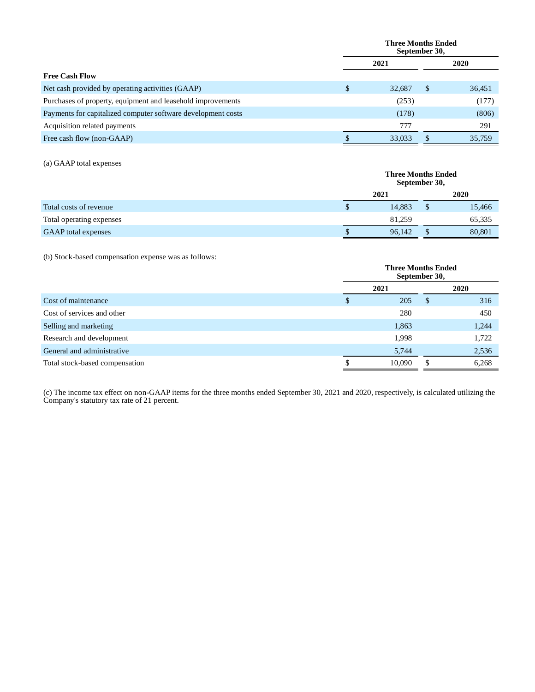|                                                              |      | <b>Three Months Ended</b><br>September 30, |   |        |  |
|--------------------------------------------------------------|------|--------------------------------------------|---|--------|--|
|                                                              | 2021 |                                            |   | 2020   |  |
| <b>Free Cash Flow</b>                                        |      |                                            |   |        |  |
| Net cash provided by operating activities (GAAP)             | \$   | 32.687                                     | S | 36,451 |  |
| Purchases of property, equipment and leasehold improvements  |      | (253)                                      |   | (177)  |  |
| Payments for capitalized computer software development costs |      | (178)                                      |   | (806)  |  |
| Acquisition related payments                                 |      | 777                                        |   | 291    |  |
| Free cash flow (non-GAAP)                                    |      | 33,033                                     |   | 35,759 |  |

(a) GAAP total expenses

|                            |   | <b>Three Months Ended</b><br>September 30, |  |        |  |  |
|----------------------------|---|--------------------------------------------|--|--------|--|--|
|                            |   | 2021                                       |  | 2020   |  |  |
| Total costs of revenue     | S | 14.883                                     |  | 15,466 |  |  |
| Total operating expenses   |   | 81,259                                     |  | 65,335 |  |  |
| <b>GAAP</b> total expenses |   | 96.142                                     |  | 80,801 |  |  |

(b) Stock-based compensation expense was as follows:

|                                |   | <b>Three Months Ended</b><br>September 30, |   |       |  |
|--------------------------------|---|--------------------------------------------|---|-------|--|
|                                |   | 2021                                       |   | 2020  |  |
| Cost of maintenance            | Φ | 205                                        | S | 316   |  |
| Cost of services and other     |   | 280                                        |   | 450   |  |
| Selling and marketing          |   | 1,863                                      |   | 1,244 |  |
| Research and development       |   | 1,998                                      |   | 1,722 |  |
| General and administrative     |   | 5,744                                      |   | 2,536 |  |
| Total stock-based compensation |   | 10,090                                     |   | 6,268 |  |

(c) The income tax effect on non-GAAP items for the three months ended September 30, 2021 and 2020, respectively, is calculated utilizing the Company's statutory tax rate of 21 percent.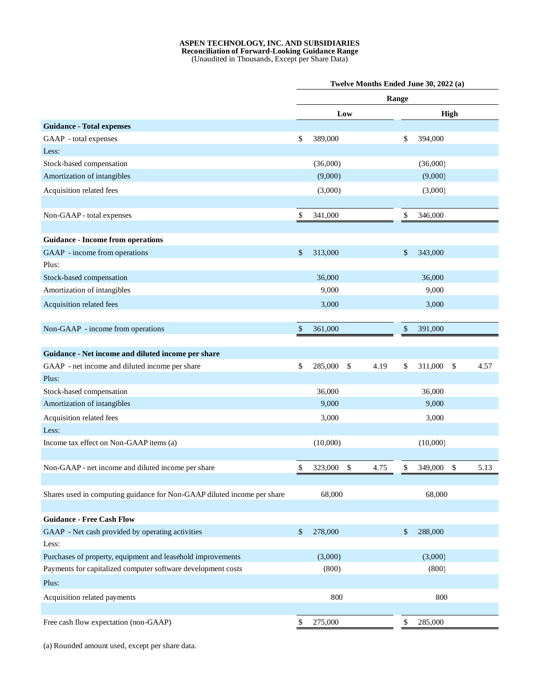#### **ASPEN TECHNOLOGY, INC. AND SUBSIDIARIES Reconciliation of Forward-Looking Guidance Range** (Unaudited in Thousands, Except per Share Data)

|                                                                         | Twelve Months Ended June 30, 2022 (a) |            |    |      |    |             |    |      |
|-------------------------------------------------------------------------|---------------------------------------|------------|----|------|----|-------------|----|------|
|                                                                         | Range                                 |            |    |      |    |             |    |      |
|                                                                         |                                       | Low        |    |      |    | <b>High</b> |    |      |
| <b>Guidance - Total expenses</b>                                        |                                       |            |    |      |    |             |    |      |
| GAAP - total expenses                                                   | \$                                    | 389,000    |    |      | \$ | 394,000     |    |      |
| Less:                                                                   |                                       |            |    |      |    |             |    |      |
| Stock-based compensation                                                |                                       | (36,000)   |    |      |    | (36,000)    |    |      |
| Amortization of intangibles                                             |                                       | (9,000)    |    |      |    | (9,000)     |    |      |
| Acquisition related fees                                                |                                       | (3,000)    |    |      |    | (3,000)     |    |      |
|                                                                         |                                       |            |    |      |    |             |    |      |
| Non-GAAP - total expenses                                               | \$                                    | 341,000    |    |      | \$ | 346,000     |    |      |
| <b>Guidance - Income from operations</b>                                |                                       |            |    |      |    |             |    |      |
| GAAP - income from operations                                           | \$                                    | 313,000    |    |      | \$ | 343,000     |    |      |
| Plus:                                                                   |                                       |            |    |      |    |             |    |      |
| Stock-based compensation                                                |                                       | 36,000     |    |      |    | 36,000      |    |      |
| Amortization of intangibles                                             |                                       | 9,000      |    |      |    | 9,000       |    |      |
| Acquisition related fees                                                |                                       | 3,000      |    |      |    | 3,000       |    |      |
|                                                                         |                                       |            |    |      |    |             |    |      |
| Non-GAAP - income from operations                                       | \$                                    | 361,000    |    |      | \$ | 391,000     |    |      |
|                                                                         |                                       |            |    |      |    |             |    |      |
| Guidance - Net income and diluted income per share                      |                                       |            |    |      |    |             |    |      |
| GAAP - net income and diluted income per share                          | \$                                    | 285,000 \$ |    | 4.19 | \$ | 311,000     | \$ | 4.57 |
| Plus:<br>Stock-based compensation                                       |                                       | 36,000     |    |      |    | 36,000      |    |      |
| Amortization of intangibles                                             |                                       | 9,000      |    |      |    | 9,000       |    |      |
| Acquisition related fees                                                |                                       | 3,000      |    |      |    | 3,000       |    |      |
| Less:                                                                   |                                       |            |    |      |    |             |    |      |
| Income tax effect on Non-GAAP items (a)                                 |                                       | (10,000)   |    |      |    | (10,000)    |    |      |
|                                                                         |                                       |            |    |      |    |             |    |      |
| Non-GAAP - net income and diluted income per share                      | \$                                    | 323,000    | \$ | 4.75 | \$ | 349,000     | \$ | 5.13 |
|                                                                         |                                       |            |    |      |    |             |    |      |
| Shares used in computing guidance for Non-GAAP diluted income per share |                                       | 68,000     |    |      |    | 68,000      |    |      |
|                                                                         |                                       |            |    |      |    |             |    |      |
| <b>Guidance - Free Cash Flow</b>                                        |                                       |            |    |      |    |             |    |      |
| GAAP - Net cash provided by operating activities                        | \$                                    | 278,000    |    |      | \$ | 288,000     |    |      |
| Less:                                                                   |                                       |            |    |      |    |             |    |      |
| Purchases of property, equipment and leasehold improvements             |                                       | (3,000)    |    |      |    | (3,000)     |    |      |
| Payments for capitalized computer software development costs            |                                       | (800)      |    |      |    | (800)       |    |      |
| Plus:                                                                   |                                       |            |    |      |    |             |    |      |
| Acquisition related payments                                            |                                       | 800        |    |      |    | 800         |    |      |
| Free cash flow expectation (non-GAAP)                                   | \$                                    | 275,000    |    |      | \$ | 285,000     |    |      |
|                                                                         |                                       |            |    |      |    |             |    |      |

(a) Rounded amount used, except per share data.